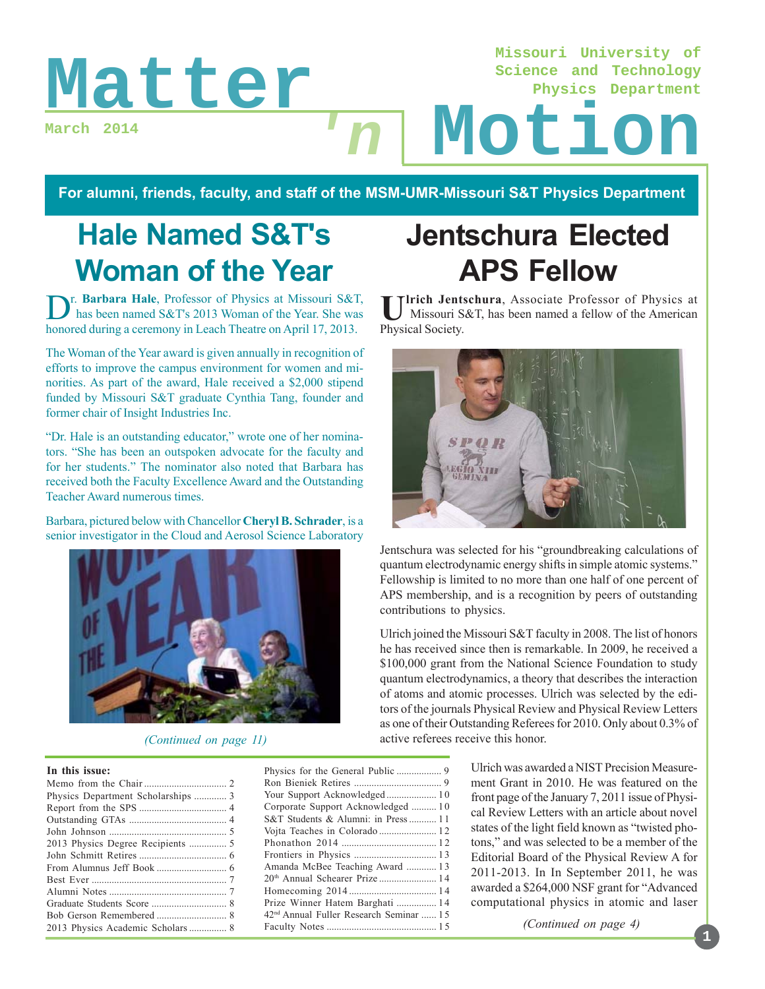**March 2014**

**Missouri University of Science and Technology Physics Department**

# Matter In Motion **'n**

**For alumni, friends, faculty, and staff of the MSM-UMR-Missouri S&T Physics Department**

# **Hale Named S&T's Woman of the Year**

**D**r. **Barbara Hale**, Professor of Physics at Missouri S&T, has been named S&T's 2013 Woman of the Year. She was honored during a ceremony in Leach Theatre on April 17, 2013.

The Woman of the Year award is given annually in recognition of efforts to improve the campus environment for women and minorities. As part of the award, Hale received a \$2,000 stipend funded by Missouri S&T graduate Cynthia Tang, founder and former chair of Insight Industries Inc.

"Dr. Hale is an outstanding educator," wrote one of her nominators. "She has been an outspoken advocate for the faculty and for her students." The nominator also noted that Barbara has received both the Faculty Excellence Award and the Outstanding Teacher Award numerous times.

Barbara, pictured below with Chancellor **Cheryl B. Schrader**, is a senior investigator in the Cloud and Aerosol Science Laboratory



#### *(Continued on page 11)*

#### **In this issue:**

| Physics Department Scholarships  3 |
|------------------------------------|
|                                    |
|                                    |
|                                    |
|                                    |
|                                    |
|                                    |
|                                    |
|                                    |
|                                    |
|                                    |
|                                    |

| Your Support Acknowledged 10                        |  |
|-----------------------------------------------------|--|
| Corporate Support Acknowledged  10                  |  |
| S&T Students & Alumni: in Press 11                  |  |
|                                                     |  |
|                                                     |  |
|                                                     |  |
| Amanda McBee Teaching Award  13                     |  |
| 20 <sup>th</sup> Annual Schearer Prize  14          |  |
|                                                     |  |
| Prize Winner Hatem Barghati  14                     |  |
| 42 <sup>nd</sup> Annual Fuller Research Seminar  15 |  |
|                                                     |  |
|                                                     |  |

# **Jentschura Elected APS Fellow**

Ulrich Jentschura, Associate Professor of Physics at Missouri S&T, has been named a fellow of the American Physical Society.



Jentschura was selected for his "groundbreaking calculations of quantum electrodynamic energy shifts in simple atomic systems." Fellowship is limited to no more than one half of one percent of APS membership, and is a recognition by peers of outstanding contributions to physics.

Ulrich joined the Missouri S&T faculty in 2008. The list of honors he has received since then is remarkable. In 2009, he received a \$100,000 grant from the National Science Foundation to study quantum electrodynamics, a theory that describes the interaction of atoms and atomic processes. Ulrich was selected by the editors of the journals Physical Review and Physical Review Letters as one of their Outstanding Referees for 2010. Only about 0.3% of active referees receive this honor.

> Ulrich was awarded a NIST Precision Measurement Grant in 2010. He was featured on the front page of the January 7, 2011 issue of Physical Review Letters with an article about novel states of the light field known as "twisted photons," and was selected to be a member of the Editorial Board of the Physical Review A for 2011-2013. In In September 2011, he was awarded a \$264,000 NSF grant for "Advanced computational physics in atomic and laser

> > *(Continued on page 4)*

### **1**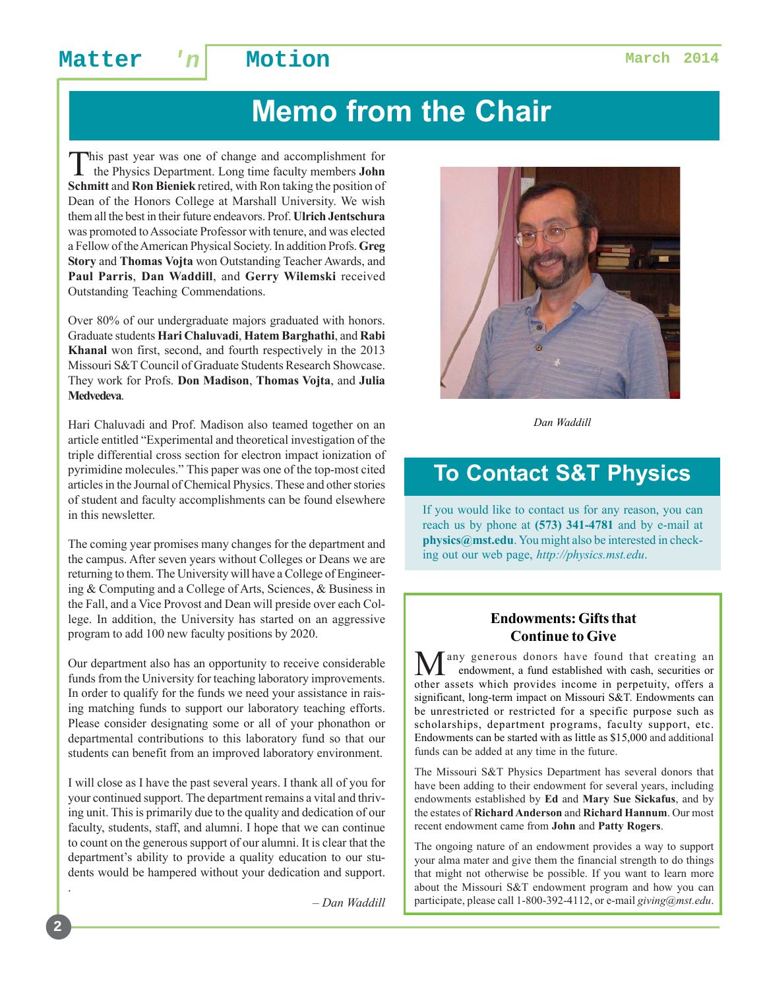# **Memo from the Chair**

This past year was one of change and accomplishment for the Physics Department. Long time faculty members **John Schmitt** and **Ron Bieniek** retired, with Ron taking the position of Dean of the Honors College at Marshall University. We wish them all the best in their future endeavors. Prof. **Ulrich Jentschura** was promoted to Associate Professor with tenure, and was elected a Fellow of the American Physical Society. In addition Profs. **Greg Story** and **Thomas Vojta** won Outstanding Teacher Awards, and **Paul Parris**, **Dan Waddill**, and **Gerry Wilemski** received Outstanding Teaching Commendations.

Over 80% of our undergraduate majors graduated with honors. Graduate students **Hari Chaluvadi**, **Hatem Barghathi**, and **Rabi Khanal** won first, second, and fourth respectively in the 2013 Missouri S&T Council of Graduate Students Research Showcase. They work for Profs. **Don Madison**, **Thomas Vojta**, and **Julia Medvedeva**.

Hari Chaluvadi and Prof. Madison also teamed together on an article entitled "Experimental and theoretical investigation of the triple differential cross section for electron impact ionization of pyrimidine molecules." This paper was one of the top-most cited articles in the Journal of Chemical Physics. These and other stories of student and faculty accomplishments can be found elsewhere in this newsletter.

The coming year promises many changes for the department and the campus. After seven years without Colleges or Deans we are returning to them. The University will have a College of Engineering & Computing and a College of Arts, Sciences, & Business in the Fall, and a Vice Provost and Dean will preside over each College. In addition, the University has started on an aggressive program to add 100 new faculty positions by 2020.

Our department also has an opportunity to receive considerable funds from the University for teaching laboratory improvements. In order to qualify for the funds we need your assistance in raising matching funds to support our laboratory teaching efforts. Please consider designating some or all of your phonathon or departmental contributions to this laboratory fund so that our students can benefit from an improved laboratory environment.

I will close as I have the past several years. I thank all of you for your continued support. The department remains a vital and thriving unit. This is primarily due to the quality and dedication of our faculty, students, staff, and alumni. I hope that we can continue to count on the generous support of our alumni. It is clear that the department's ability to provide a quality education to our students would be hampered without your dedication and support.

– *Dan Waddill*



*Dan Waddill*

## **To Contact S&T Physics**

If you would like to contact us for any reason, you can reach us by phone at **(573) 341-4781** and by e-mail at **physics@mst.edu**. You might also be interested in checking out our web page, *http://physics.mst.edu*.

#### **Endowments: Gifts that Continue to Give**

any generous donors have found that creating an endowment, a fund established with cash, securities or other assets which provides income in perpetuity, offers a significant, long-term impact on Missouri S&T. Endowments can be unrestricted or restricted for a specific purpose such as scholarships, department programs, faculty support, etc. Endowments can be started with as little as \$15,000 and additional funds can be added at any time in the future.

The Missouri S&T Physics Department has several donors that have been adding to their endowment for several years, including endowments established by **Ed** and **Mary Sue Sickafus**, and by the estates of **Richard Anderson** and **Richard Hannum**. Our most recent endowment came from **John** and **Patty Rogers**.

The ongoing nature of an endowment provides a way to support your alma mater and give them the financial strength to do things that might not otherwise be possible. If you want to learn more about the Missouri S&T endowment program and how you can participate, please call 1-800-392-4112, or e-mail *giving@mst.edu*.

.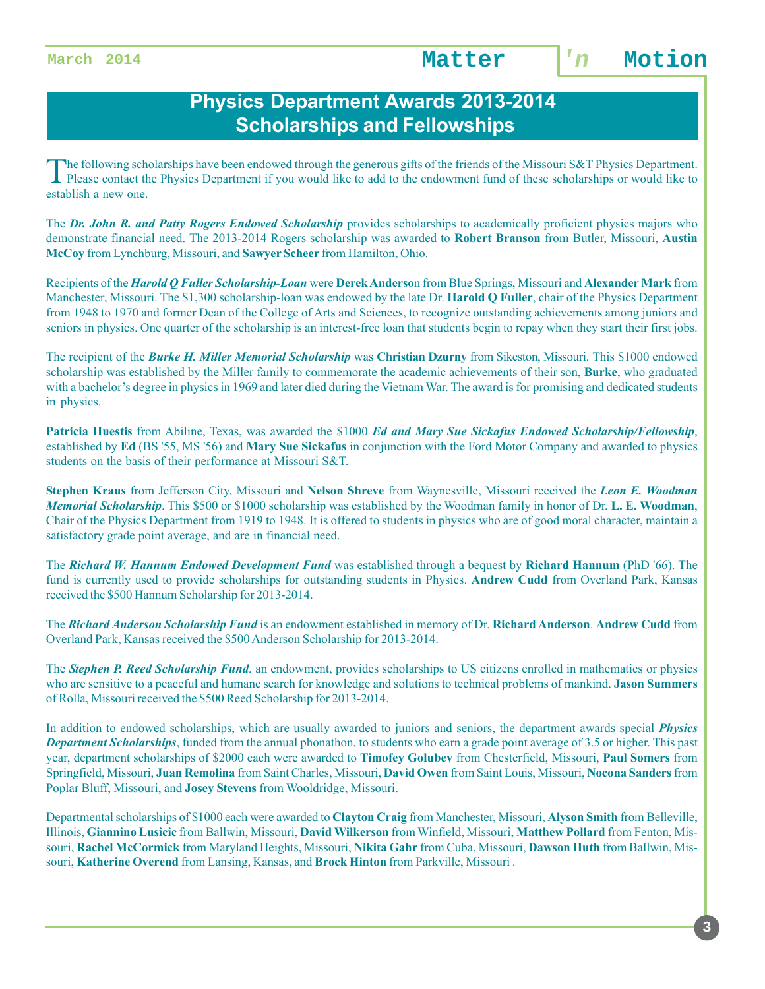## **Physics Department Awards 2013-2014 Scholarships and Fellowships**

The following scholarships have been endowed through the generous gifts of the friends of the Missouri S&T Physics Department.<br>Please contact the Physics Department if you would like to add to the endowment fund of these s establish a new one.

The *Dr. John R. and Patty Rogers Endowed Scholarship* provides scholarships to academically proficient physics majors who demonstrate financial need. The 2013-2014 Rogers scholarship was awarded to **Robert Branson** from Butler, Missouri, **Austin McCoy** from Lynchburg, Missouri, and **Sawyer Scheer** from Hamilton, Ohio.

Recipients of the *Harold Q Fuller Scholarship-Loan* were **Derek Anderso**n from Blue Springs, Missouri and **Alexander Mark** from Manchester, Missouri. The \$1,300 scholarship-loan was endowed by the late Dr. **Harold Q Fuller**, chair of the Physics Department from 1948 to 1970 and former Dean of the College of Arts and Sciences, to recognize outstanding achievements among juniors and seniors in physics. One quarter of the scholarship is an interest-free loan that students begin to repay when they start their first jobs.

The recipient of the *Burke H. Miller Memorial Scholarship* was **Christian Dzurny** from Sikeston, Missouri. This \$1000 endowed scholarship was established by the Miller family to commemorate the academic achievements of their son, **Burke**, who graduated with a bachelor's degree in physics in 1969 and later died during the Vietnam War. The award is for promising and dedicated students in physics.

**Patricia Huestis** from Abiline, Texas, was awarded the \$1000 *Ed and Mary Sue Sickafus Endowed Scholarship/Fellowship*, established by **Ed** (BS '55, MS '56) and **Mary Sue Sickafus** in conjunction with the Ford Motor Company and awarded to physics students on the basis of their performance at Missouri S&T.

**Stephen Kraus** from Jefferson City, Missouri and **Nelson Shreve** from Waynesville, Missouri received the *Leon E. Woodman Memorial Scholarship*. This \$500 or \$1000 scholarship was established by the Woodman family in honor of Dr. **L. E. Woodman**, Chair of the Physics Department from 1919 to 1948. It is offered to students in physics who are of good moral character, maintain a satisfactory grade point average, and are in financial need.

The *Richard W. Hannum Endowed Development Fund* was established through a bequest by **Richard Hannum** (PhD '66). The fund is currently used to provide scholarships for outstanding students in Physics. **Andrew Cudd** from Overland Park, Kansas received the \$500 Hannum Scholarship for 2013-2014.

The *Richard Anderson Scholarship Fund* is an endowment established in memory of Dr. **Richard Anderson**. **Andrew Cudd** from Overland Park, Kansas received the \$500 Anderson Scholarship for 2013-2014.

The *Stephen P. Reed Scholarship Fund*, an endowment, provides scholarships to US citizens enrolled in mathematics or physics who are sensitive to a peaceful and humane search for knowledge and solutions to technical problems of mankind. **Jason Summers** of Rolla, Missouri received the \$500 Reed Scholarship for 2013-2014.

In addition to endowed scholarships, which are usually awarded to juniors and seniors, the department awards special *Physics Department Scholarships*, funded from the annual phonathon, to students who earn a grade point average of 3.5 or higher. This past year, department scholarships of \$2000 each were awarded to **Timofey Golubev** from Chesterfield, Missouri, **Paul Somers** from Springfield, Missouri, **Juan Remolina** from Saint Charles, Missouri, **David Owen** from Saint Louis, Missouri, **Nocona Sanders** from Poplar Bluff, Missouri, and **Josey Stevens** from Wooldridge, Missouri.

Departmental scholarships of \$1000 each were awarded to **Clayton Craig** from Manchester, Missouri, **Alyson Smith** from Belleville, Illinois, **Giannino Lusicic** from Ballwin, Missouri, **David Wilkerson** from Winfield, Missouri, **Matthew Pollard** from Fenton, Missouri, **Rachel McCormick** from Maryland Heights, Missouri, **Nikita Gahr** from Cuba, Missouri, **Dawson Huth** from Ballwin, Missouri, **Katherine Overend** from Lansing, Kansas, and **Brock Hinton** from Parkville, Missouri .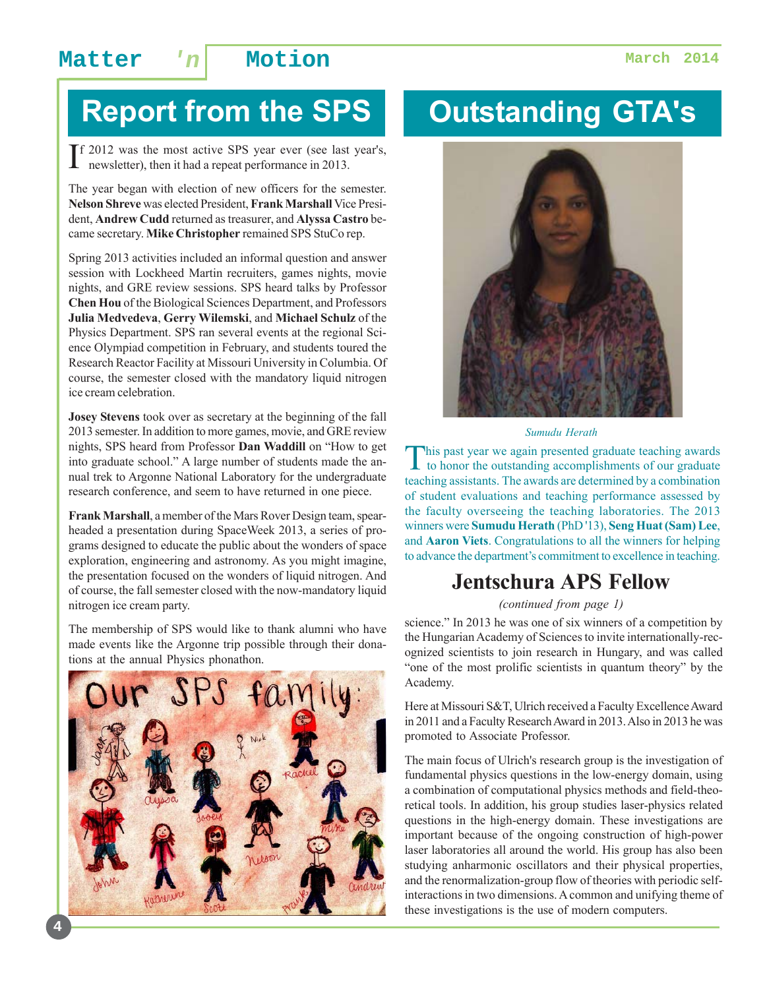# **Report from the SPS**

If 2012 was the most active SPS year ever (see last year's, newsletter), then it had a repeat performance in 2013. newsletter), then it had a repeat performance in 2013.

The year began with election of new officers for the semester. **Nelson Shreve** was elected President, **Frank Marshall** Vice President, **Andrew Cudd** returned as treasurer, and **Alyssa Castro** became secretary. **Mike Christopher** remained SPS StuCo rep.

Spring 2013 activities included an informal question and answer session with Lockheed Martin recruiters, games nights, movie nights, and GRE review sessions. SPS heard talks by Professor **Chen Hou** of the Biological Sciences Department, and Professors **Julia Medvedeva**, **Gerry Wilemski**, and **Michael Schulz** of the Physics Department. SPS ran several events at the regional Science Olympiad competition in February, and students toured the Research Reactor Facility at Missouri University in Columbia. Of course, the semester closed with the mandatory liquid nitrogen ice cream celebration.

**Josey Stevens** took over as secretary at the beginning of the fall 2013 semester. In addition to more games, movie, and GRE review nights, SPS heard from Professor **Dan Waddill** on "How to get into graduate school." A large number of students made the annual trek to Argonne National Laboratory for the undergraduate research conference, and seem to have returned in one piece.

**Frank Marshall**, a member of the Mars Rover Design team, spearheaded a presentation during SpaceWeek 2013, a series of programs designed to educate the public about the wonders of space exploration, engineering and astronomy. As you might imagine, the presentation focused on the wonders of liquid nitrogen. And of course, the fall semester closed with the now-mandatory liquid nitrogen ice cream party.

The membership of SPS would like to thank alumni who have made events like the Argonne trip possible through their donations at the annual Physics phonathon.



**4**

# **Outstanding GTA's**



*Sumudu Herath*

This past year we again presented graduate teaching awards<br>to honor the outstanding accomplishments of our graduate teaching assistants. The awards are determined by a combination of student evaluations and teaching performance assessed by the faculty overseeing the teaching laboratories. The 2013 winners were **Sumudu Herath** (PhD '13), **Seng Huat (Sam) Lee**, and **Aaron Viets**. Congratulations to all the winners for helping to advance the department's commitment to excellence in teaching.

### **Jentschura APS Fellow**

*(continued from page 1)*

science." In 2013 he was one of six winners of a competition by the Hungarian Academy of Sciences to invite internationally-recognized scientists to join research in Hungary, and was called "one of the most prolific scientists in quantum theory" by the Academy.

Here at Missouri S&T, Ulrich received a Faculty Excellence Award in 2011 and a Faculty Research Award in 2013. Also in 2013 he was promoted to Associate Professor.

The main focus of Ulrich's research group is the investigation of fundamental physics questions in the low-energy domain, using a combination of computational physics methods and field-theoretical tools. In addition, his group studies laser-physics related questions in the high-energy domain. These investigations are important because of the ongoing construction of high-power laser laboratories all around the world. His group has also been studying anharmonic oscillators and their physical properties, and the renormalization-group flow of theories with periodic selfinteractions in two dimensions. A common and unifying theme of these investigations is the use of modern computers.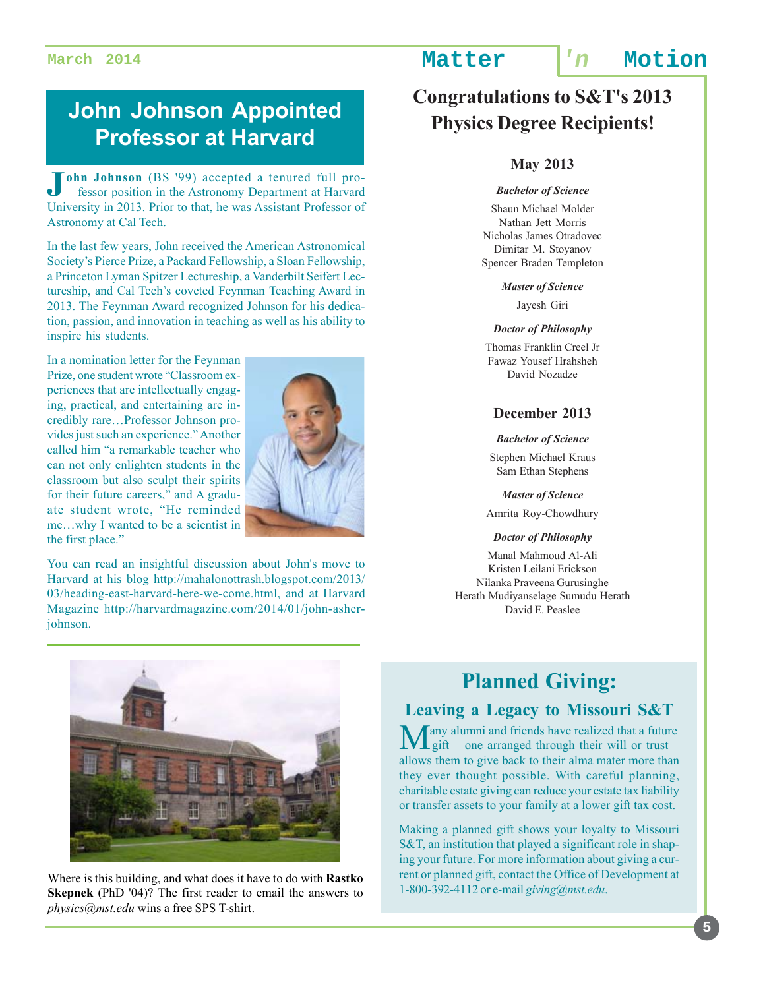## **John Johnson Appointed Professor at Harvard**

**John Johnson** (BS '99) accepted a tenured full pro-<br>fessor position in the Astronomy Department at Harvard fessor position in the Astronomy Department at Harvard University in 2013. Prior to that, he was Assistant Professor of Astronomy at Cal Tech.

In the last few years, John received the American Astronomical Society's Pierce Prize, a Packard Fellowship, a Sloan Fellowship, a Princeton Lyman Spitzer Lectureship, a Vanderbilt Seifert Lectureship, and Cal Tech's coveted Feynman Teaching Award in 2013. The Feynman Award recognized Johnson for his dedication, passion, and innovation in teaching as well as his ability to inspire his students.

In a nomination letter for the Feynman Prize, one student wrote "Classroom experiences that are intellectually engaging, practical, and entertaining are incredibly rare…Professor Johnson provides just such an experience." Another called him "a remarkable teacher who can not only enlighten students in the classroom but also sculpt their spirits for their future careers," and A graduate student wrote, "He reminded me…why I wanted to be a scientist in the first place."



You can read an insightful discussion about John's move to Harvard at his blog http://mahalonottrash.blogspot.com/2013/ 03/heading-east-harvard-here-we-come.html, and at Harvard Magazine http://harvardmagazine.com/2014/01/john-asherjohnson.



Where is this building, and what does it have to do with **Rastko Skepnek** (PhD '04)? The first reader to email the answers to *physics@mst.edu* wins a free SPS T-shirt.

## **March 2014 Matter 'n Motion**

## **Congratulations to S&T's 2013 Physics Degree Recipients!**

#### **May 2013**

#### *Bachelor of Science*

Shaun Michael Molder Nathan Jett Morris Nicholas James Otradovec Dimitar M. Stoyanov Spencer Braden Templeton

#### *Master of Science*

Jayesh Giri

#### *Doctor of Philosophy*

Thomas Franklin Creel Jr Fawaz Yousef Hrahsheh David Nozadze

#### **December 2013**

#### *Bachelor of Science*

Stephen Michael Kraus Sam Ethan Stephens

*Master of Science*

Amrita Roy-Chowdhury

#### *Doctor of Philosophy*

Manal Mahmoud Al-Ali Kristen Leilani Erickson Nilanka Praveena Gurusinghe Herath Mudiyanselage Sumudu Herath David E. Peaslee

## **Planned Giving:**

### **Leaving a Legacy to Missouri S&T**

Many alumni and friends have realized that a future gift – one arranged through their will or trust – allows them to give back to their alma mater more than they ever thought possible. With careful planning, charitable estate giving can reduce your estate tax liability or transfer assets to your family at a lower gift tax cost.

Making a planned gift shows your loyalty to Missouri S&T, an institution that played a significant role in shaping your future. For more information about giving a current or planned gift, contact the Office of Development at 1-800-392-4112 or e-mail *giving@mst.edu*.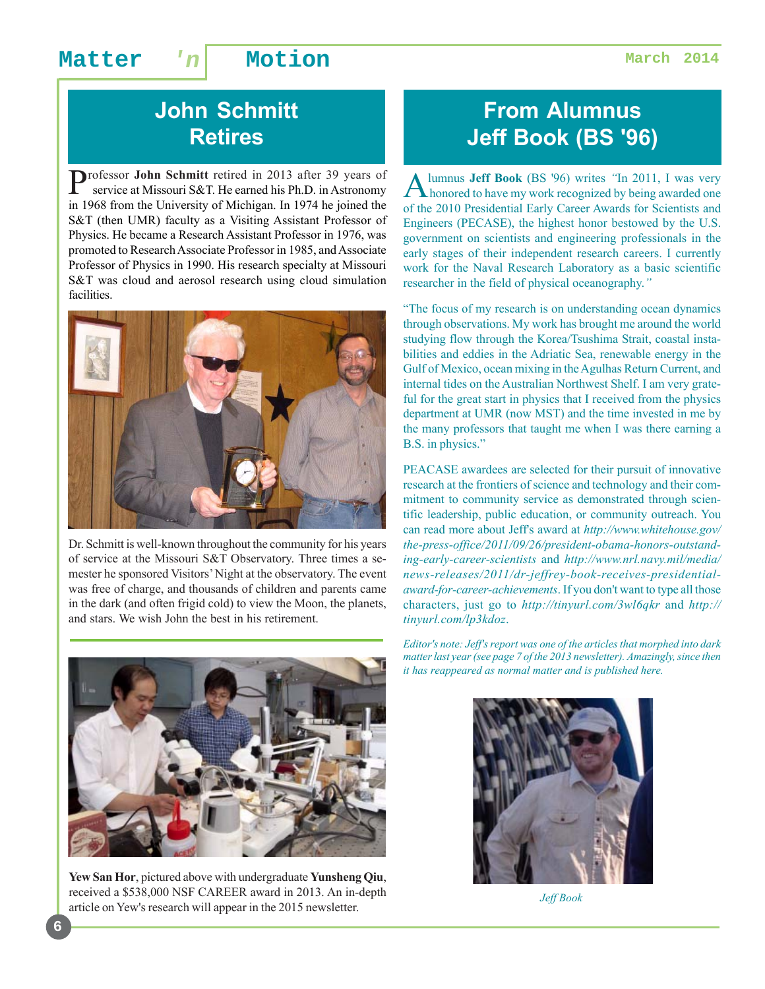## **John Schmitt Retires**

Professor **John Schmitt** retired in 2013 after 39 years of service at Missouri S&T. He earned his Ph.D. in Astronomy in 1968 from the University of Michigan. In 1974 he joined the S&T (then UMR) faculty as a Visiting Assistant Professor of Physics. He became a Research Assistant Professor in 1976, was promoted to Research Associate Professor in 1985, and Associate Professor of Physics in 1990. His research specialty at Missouri S&T was cloud and aerosol research using cloud simulation facilities.



Dr. Schmitt is well-known throughout the community for his years of service at the Missouri S&T Observatory. Three times a semester he sponsored Visitors' Night at the observatory. The event was free of charge, and thousands of children and parents came in the dark (and often frigid cold) to view the Moon, the planets, and stars. We wish John the best in his retirement.

## **From Alumnus Jeff Book (BS '96)**

Alumnus **Jeff Book** (BS '96) writes *"*In 2011, I was very honored to have my work recognized by being awarded one of the 2010 Presidential Early Career Awards for Scientists and Engineers (PECASE), the highest honor bestowed by the U.S. government on scientists and engineering professionals in the early stages of their independent research careers. I currently work for the Naval Research Laboratory as a basic scientific researcher in the field of physical oceanography.*"*

"The focus of my research is on understanding ocean dynamics through observations. My work has brought me around the world studying flow through the Korea/Tsushima Strait, coastal instabilities and eddies in the Adriatic Sea, renewable energy in the Gulf of Mexico, ocean mixing in the Agulhas Return Current, and internal tides on the Australian Northwest Shelf. I am very grateful for the great start in physics that I received from the physics department at UMR (now MST) and the time invested in me by the many professors that taught me when I was there earning a B.S. in physics."

PEACASE awardees are selected for their pursuit of innovative research at the frontiers of science and technology and their commitment to community service as demonstrated through scientific leadership, public education, or community outreach. You can read more about Jeff's award at *http://www.whitehouse.gov/ the-press-office/2011/09/26/president-obama-honors-outstanding-early-career-scientists* and *http://www.nrl.navy.mil/media/ news-releases/2011/dr-jeffrey-book-receives-presidentialaward-for-career-achievements*. If you don't want to type all those characters, just go to *http://tinyurl.com/3wl6qkr* and *http:// tinyurl.com/lp3kdoz*.



**Yew San Hor**, pictured above with undergraduate **Yunsheng Qiu**, received a \$538,000 NSF CAREER award in 2013. An in-depth article on Yew's research will appear in the 2015 newsletter.

*Editor's note: Jeff's report was one of the articles that morphed into dark matter last year (see page 7 of the 2013 newsletter). Amazingly, since then it has reappeared as normal matter and is published here.*



*Jeff Book*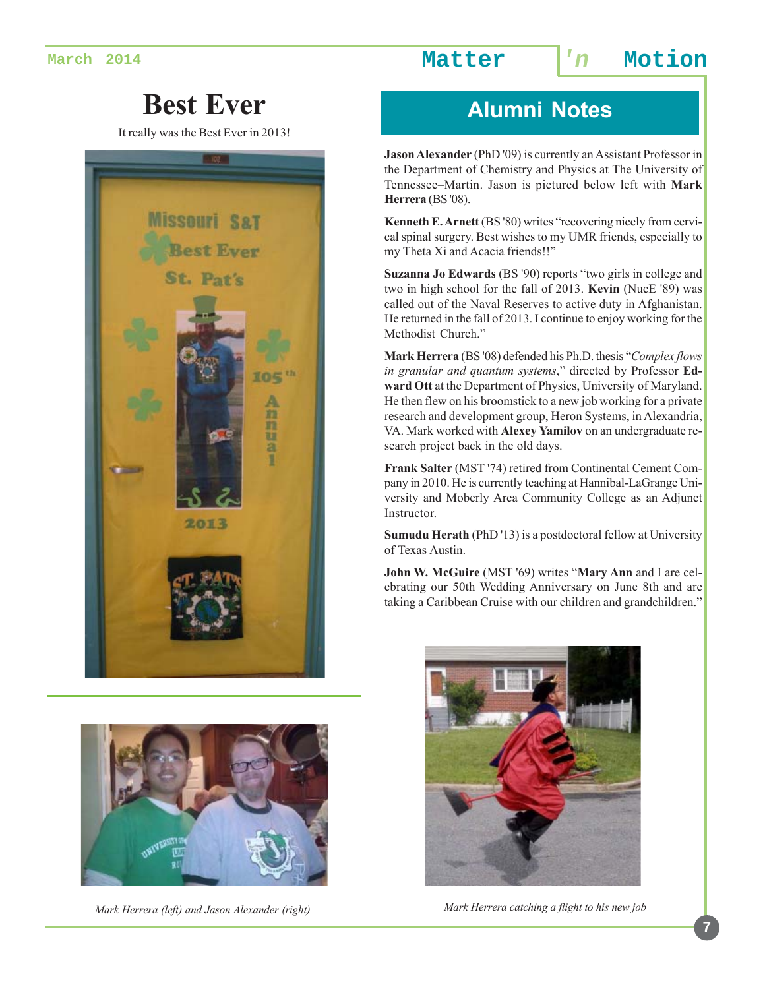# **Best Ever Alumni Notes**

It really was the Best Ever in 2013!





*Mark Herrera (left) and Jason Alexander (right)*

**Jason Alexander** (PhD '09) is currently an Assistant Professor in the Department of Chemistry and Physics at The University of Tennessee–Martin. Jason is pictured below left with **Mark Herrera** (BS '08).

**Kenneth E. Arnett** (BS '80) writes "recovering nicely from cervical spinal surgery. Best wishes to my UMR friends, especially to my Theta Xi and Acacia friends!!"

**Suzanna Jo Edwards** (BS '90) reports "two girls in college and two in high school for the fall of 2013. **Kevin** (NucE '89) was called out of the Naval Reserves to active duty in Afghanistan. He returned in the fall of 2013. I continue to enjoy working for the Methodist Church."

**Mark Herrera** (BS '08) defended his Ph.D. thesis "*Complex flows in granular and quantum systems*," directed by Professor **Edward Ott** at the Department of Physics, University of Maryland. He then flew on his broomstick to a new job working for a private research and development group, Heron Systems, in Alexandria, VA. Mark worked with **Alexey Yamilov** on an undergraduate research project back in the old days.

**Frank Salter** (MST '74) retired from Continental Cement Company in 2010. He is currently teaching at Hannibal-LaGrange University and Moberly Area Community College as an Adjunct Instructor.

**Sumudu Herath** (PhD '13) is a postdoctoral fellow at University of Texas Austin.

**John W. McGuire** (MST '69) writes "**Mary Ann** and I are celebrating our 50th Wedding Anniversary on June 8th and are taking a Caribbean Cruise with our children and grandchildren."



*Mark Herrera catching a flight to his new job*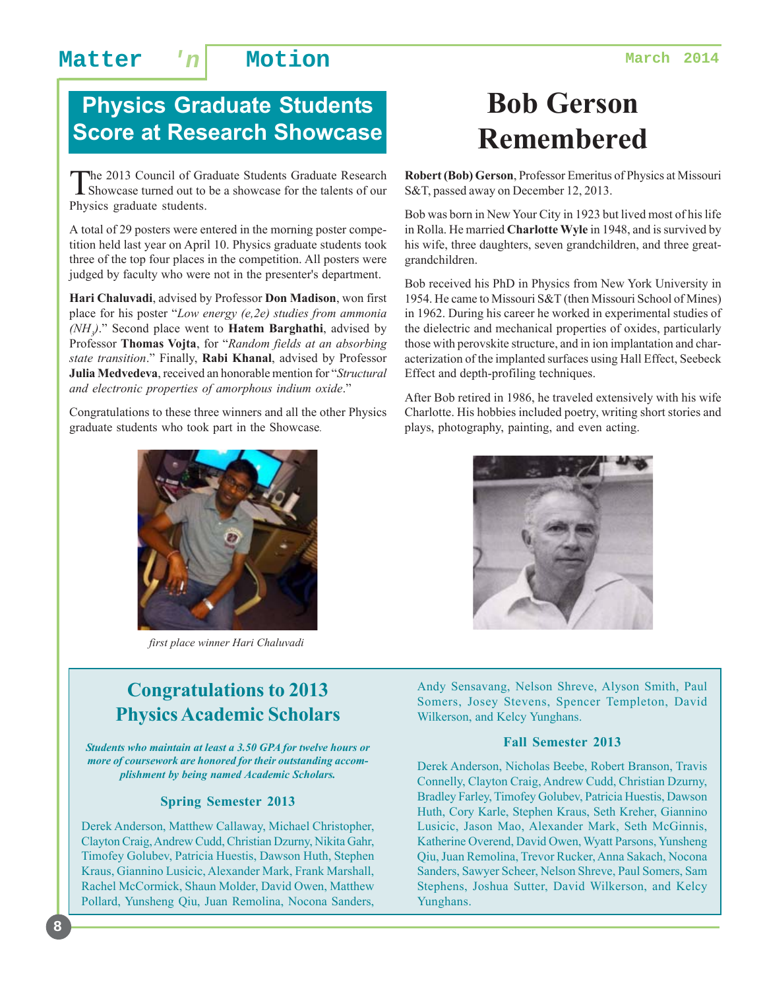## **Physics Graduate Students Score at Research Showcase**

The 2013 Council of Graduate Students Graduate Research<br>Showcase turned out to be a showcase for the talents of our Physics graduate students.

A total of 29 posters were entered in the morning poster competition held last year on April 10. Physics graduate students took three of the top four places in the competition. All posters were judged by faculty who were not in the presenter's department.

**Hari Chaluvadi**, advised by Professor **Don Madison**, won first place for his poster "*Low energy (e,2e) studies from ammonia (NH3 )*." Second place went to **Hatem Barghathi**, advised by Professor **Thomas Vojta**, for "*Random fields at an absorbing state transition*." Finally, **Rabi Khanal**, advised by Professor **Julia Medvedeva**, received an honorable mention for "*Structural and electronic properties of amorphous indium oxide*."

Congratulations to these three winners and all the other Physics graduate students who took part in the Showcase*.*



*first place winner Hari Chaluvadi*

# **Bob Gerson Remembered**

**Robert (Bob) Gerson**, Professor Emeritus of Physics at Missouri S&T, passed away on December 12, 2013.

Bob was born in New Your City in 1923 but lived most of his life in Rolla. He married **Charlotte Wyle** in 1948, and is survived by his wife, three daughters, seven grandchildren, and three greatgrandchildren.

Bob received his PhD in Physics from New York University in 1954. He came to Missouri S&T (then Missouri School of Mines) in 1962. During his career he worked in experimental studies of the dielectric and mechanical properties of oxides, particularly those with perovskite structure, and in ion implantation and characterization of the implanted surfaces using Hall Effect, Seebeck Effect and depth-profiling techniques.

After Bob retired in 1986, he traveled extensively with his wife Charlotte. His hobbies included poetry, writing short stories and plays, photography, painting, and even acting.



### **Congratulations to 2013 Physics Academic Scholars**

*Students who maintain at least a 3.50 GPA for twelve hours or more of coursework are honored for their outstanding accomplishment by being named Academic Scholars.*

#### **Spring Semester 2013**

Derek Anderson, Matthew Callaway, Michael Christopher, Clayton Craig, Andrew Cudd, Christian Dzurny, Nikita Gahr, Timofey Golubev, Patricia Huestis, Dawson Huth, Stephen Kraus, Giannino Lusicic, Alexander Mark, Frank Marshall, Rachel McCormick, Shaun Molder, David Owen, Matthew Pollard, Yunsheng Qiu, Juan Remolina, Nocona Sanders,

**8**

Andy Sensavang, Nelson Shreve, Alyson Smith, Paul Somers, Josey Stevens, Spencer Templeton, David Wilkerson, and Kelcy Yunghans.

#### **Fall Semester 2013**

Derek Anderson, Nicholas Beebe, Robert Branson, Travis Connelly, Clayton Craig, Andrew Cudd, Christian Dzurny, Bradley Farley, Timofey Golubev, Patricia Huestis, Dawson Huth, Cory Karle, Stephen Kraus, Seth Kreher, Giannino Lusicic, Jason Mao, Alexander Mark, Seth McGinnis, Katherine Overend, David Owen, Wyatt Parsons, Yunsheng Qiu, Juan Remolina, Trevor Rucker, Anna Sakach, Nocona Sanders, Sawyer Scheer, Nelson Shreve, Paul Somers, Sam Stephens, Joshua Sutter, David Wilkerson, and Kelcy Yunghans.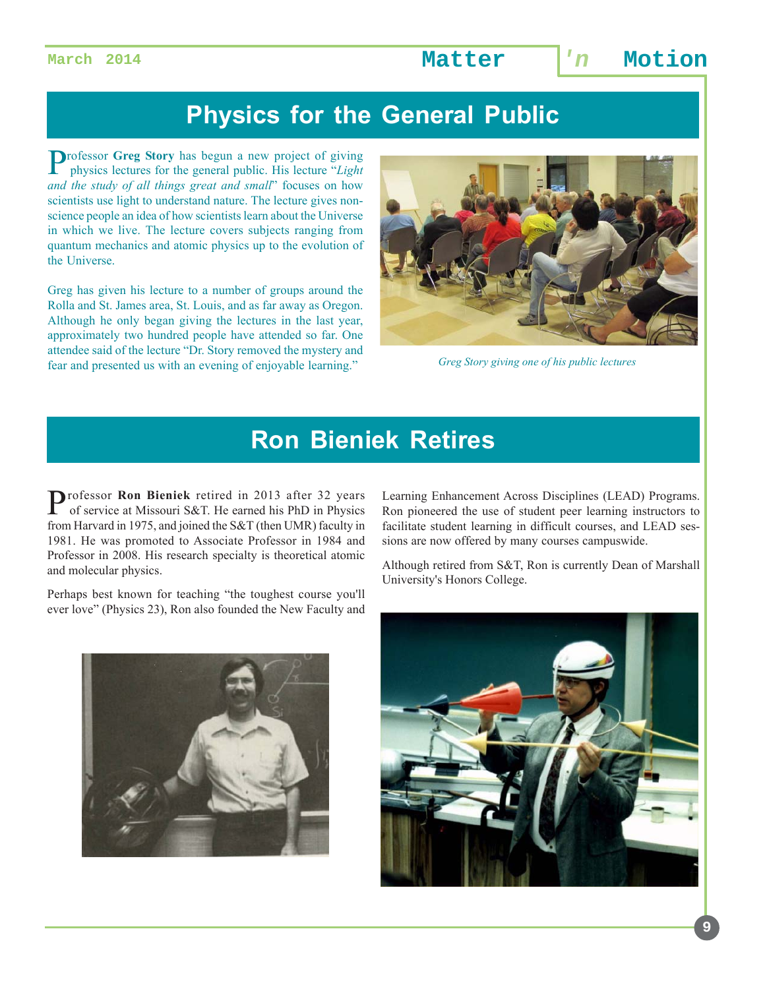## **Physics for the General Public**

Professor **Greg Story** has begun a new project of giving physics lectures for the general public. His lecture "*Light and the study of all things great and small*" focuses on how scientists use light to understand nature. The lecture gives nonscience people an idea of how scientists learn about the Universe in which we live. The lecture covers subjects ranging from quantum mechanics and atomic physics up to the evolution of the Universe.

Greg has given his lecture to a number of groups around the Rolla and St. James area, St. Louis, and as far away as Oregon. Although he only began giving the lectures in the last year, approximately two hundred people have attended so far. One attendee said of the lecture "Dr. Story removed the mystery and fear and presented us with an evening of enjoyable learning."



*Greg Story giving one of his public lectures*

## **Ron Bieniek Retires**

Professor Ron Bieniek retired in 2013 after 32 years of service at Missouri S&T. He earned his PhD in Physics from Harvard in 1975, and joined the S&T (then UMR) faculty in 1981. He was promoted to Associate Professor in 1984 and Professor in 2008. His research specialty is theoretical atomic and molecular physics.

Perhaps best known for teaching "the toughest course you'll ever love" (Physics 23), Ron also founded the New Faculty and



Learning Enhancement Across Disciplines (LEAD) Programs. Ron pioneered the use of student peer learning instructors to facilitate student learning in difficult courses, and LEAD sessions are now offered by many courses campuswide.

Although retired from S&T, Ron is currently Dean of Marshall University's Honors College.

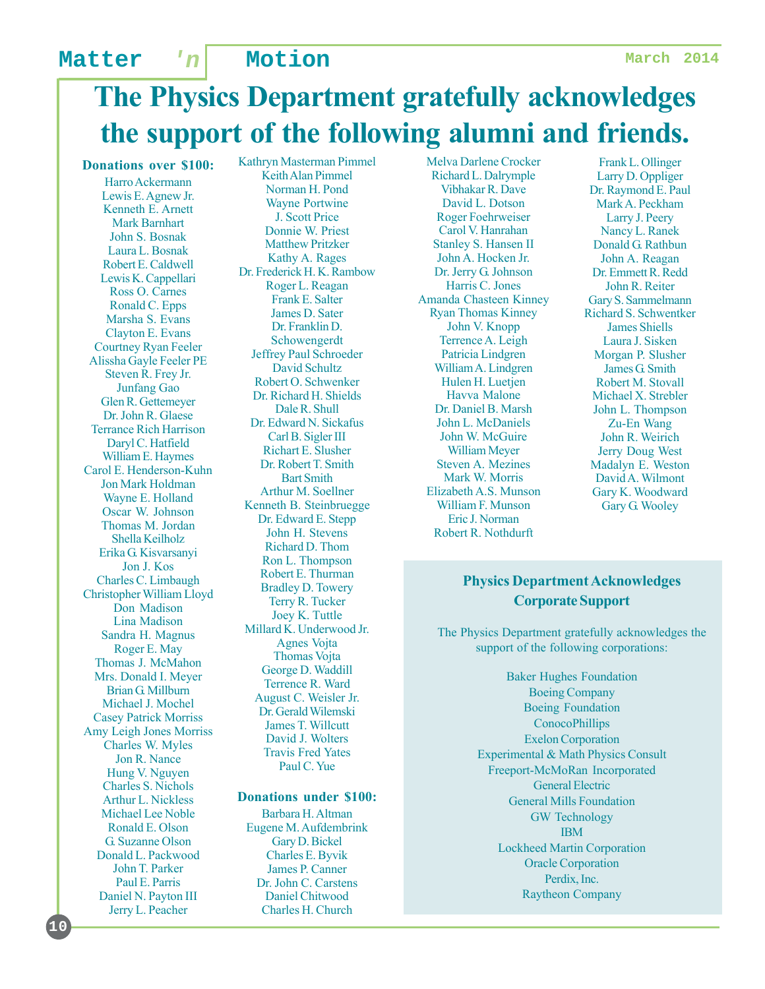# **The Physics Department gratefully acknowledges the support of the following alumni and friends.**

**Donations over \$100:**

Harro Ackermann Lewis E. Agnew Jr. Kenneth E. Arnett Mark Barnhart John S. Bosnak Laura L. Bosnak Robert E. Caldwell Lewis K. Cappellari Ross O. Carnes Ronald C. Epps Marsha S. Evans Clayton E. Evans Courtney Ryan Feeler Alissha Gayle Feeler PE Steven R. Frey Jr. Junfang Gao Glen R. Gettemeyer Dr. John R. Glaese Terrance Rich Harrison Daryl C. Hatfield William E. Haymes Carol E. Henderson-Kuhn Jon Mark Holdman Wayne E. Holland Oscar W. Johnson Thomas M. Jordan Shella Keilholz Erika G. Kisvarsanyi Jon J. Kos Charles C. Limbaugh Christopher William Lloyd Don Madison Lina Madison Sandra H. Magnus Roger E. May Thomas J. McMahon Mrs. Donald I. Meyer Brian G. Millburn Michael J. Mochel Casey Patrick Morriss Amy Leigh Jones Morriss Charles W. Myles Jon R. Nance Hung V. Nguyen Charles S. Nichols Arthur L. Nickless Michael Lee Noble Ronald E. Olson G. Suzanne Olson Donald L. Packwood John T. Parker Paul E. Parris Daniel N. Payton III Jerry L. Peacher

**10**

Kathryn Masterman Pimmel Keith Alan Pimmel Norman H. Pond Wayne Portwine J. Scott Price Donnie W. Priest Matthew Pritzker Kathy A. Rages Dr. Frederick H. K. Rambow Roger L. Reagan Frank E. Salter James D. Sater Dr. Franklin D. Schowengerdt Jeffrey Paul Schroeder David Schultz Robert O. Schwenker Dr. Richard H. Shields Dale R. Shull Dr. Edward N. Sickafus Carl B. Sigler III Richart E. Slusher Dr. Robert T. Smith Bart Smith Arthur M. Soellner Kenneth B. Steinbruegge Dr. Edward E. Stepp John H. Stevens Richard D. Thom Ron L. Thompson Robert E. Thurman Bradley D. Towery Terry R. Tucker Joey K. Tuttle Millard K. Underwood Jr. Agnes Vojta Thomas Vojta George D. Waddill Terrence R. Ward August C. Weisler Jr. Dr. Gerald Wilemski James T. Willcutt David J. Wolters Travis Fred Yates Paul C. Yue

#### **Donations under \$100:**

Barbara H. Altman Eugene M. Aufdembrink Gary D. Bickel Charles E. Byvik James P. Canner Dr. John C. Carstens Daniel Chitwood Charles H. Church

Melva Darlene Crocker Richard L. Dalrymple Vibhakar R. Dave David L. Dotson Roger Foehrweiser Carol V. Hanrahan Stanley S. Hansen II John A. Hocken Jr. Dr. Jerry G. Johnson Harris C. Jones Amanda Chasteen Kinney Ryan Thomas Kinney John V. Knopp Terrence A. Leigh Patricia Lindgren William A. Lindgren Hulen H. Luetjen Havva Malone Dr. Daniel B. Marsh John L. McDaniels John W. McGuire William Meyer Steven A. Mezines Mark W. Morris Elizabeth A.S. Munson William F. Munson Eric J. Norman Robert R. Nothdurft

Frank L. Ollinger Larry D. Oppliger Dr. Raymond E. Paul Mark A. Peckham Larry J. Peery Nancy L. Ranek Donald G. Rathbun John A. Reagan Dr. Emmett R. Redd John R. Reiter Gary S. Sammelmann Richard S. Schwentker James Shiells Laura J. Sisken Morgan P. Slusher James G. Smith Robert M. Stovall Michael X. Strebler John L. Thompson Zu-En Wang John R. Weirich Jerry Doug West Madalyn E. Weston David A. Wilmont Gary K. Woodward Gary G. Wooley

#### **Physics Department Acknowledges Corporate Support**

The Physics Department gratefully acknowledges the support of the following corporations:

> Baker Hughes Foundation Boeing Company Boeing Foundation **ConocoPhillips** Exelon Corporation Experimental & Math Physics Consult Freeport-McMoRan Incorporated General Electric General Mills Foundation GW Technology IBM Lockheed Martin Corporation Oracle Corporation Perdix, Inc. Raytheon Company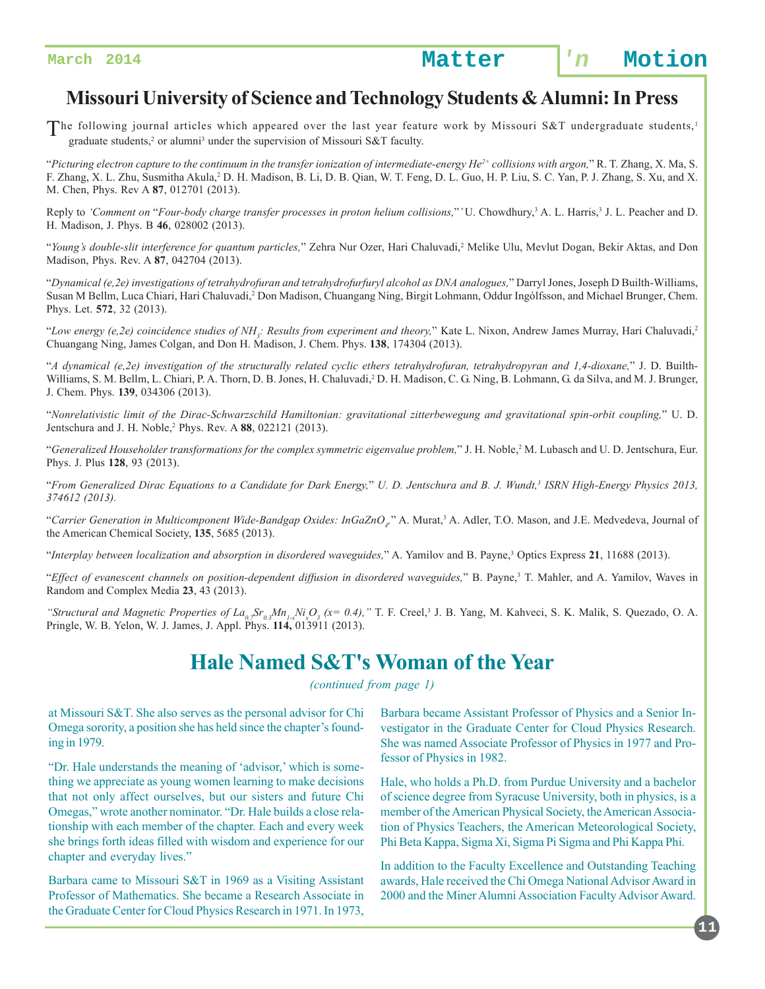### **Missouri University of Science and Technology Students & Alumni: In Press**

The following journal articles which appeared over the last year feature work by Missouri S&T undergraduate students,<sup>1</sup>  $\overline{\phantom{a}}$  graduate students,<sup>2</sup> or alumni<sup>3</sup> under the supervision of Missouri S&T faculty.

"*Picturing electron capture to the continuum in the transfer ionization of intermediate-energy He2+ collisions with argon,*" R. T. Zhang, X. Ma, S. F. Zhang, X. L. Zhu, Susmitha Akula,<sup>2</sup> D. H. Madison, B. Li, D. B. Qian, W. T. Feng, D. L. Guo, H. P. Liu, S. C. Yan, P. J. Zhang, S. Xu, and X. M. Chen, Phys. Rev A **87**, 012701 (2013).

Reply to *'Comment on "Four-body charge transfer processes in proton helium collisions,"'* U. Chowdhury,<sup>3</sup> A. L. Harris,<sup>3</sup> J. L. Peacher and D. H. Madison, J. Phys. B **46**, 028002 (2013).

"*Young's double-slit interference for quantum particles,*" Zehra Nur Ozer, Hari Chaluvadi,2 Melike Ulu, Mevlut Dogan, Bekir Aktas, and Don Madison, Phys. Rev. A **87**, 042704 (2013).

"*Dynamical (e,2e) investigations of tetrahydrofuran and tetrahydrofurfuryl alcohol as DNA analogues,*" Darryl Jones, Joseph D Builth-Williams, Susan M Bellm, Luca Chiari, Hari Chaluvadi,<sup>2</sup> Don Madison, Chuangang Ning, Birgit Lohmann, Oddur Ingólfsson, and Michael Brunger, Chem. Phys. Let. **572**, 32 (2013).

"Low energy (e,2e) coincidence studies of NH<sub>3</sub>: Results from experiment and theory," Kate L. Nixon, Andrew James Murray, Hari Chaluvadi,<sup>2</sup> Chuangang Ning, James Colgan, and Don H. Madison, J. Chem. Phys. **138**, 174304 (2013).

"*A dynamical (e,2e) investigation of the structurally related cyclic ethers tetrahydrofuran, tetrahydropyran and 1,4-dioxane,*" J. D. Builth-Williams, S. M. Bellm, L. Chiari, P. A. Thorn, D. B. Jones, H. Chaluvadi, 2D. H. Madison, C. G. Ning, B. Lohmann, G. da Silva, and M. J. Brunger, J. Chem. Phys. **139**, 034306 (2013).

"*Nonrelativistic limit of the Dirac-Schwarzschild Hamiltonian: gravitational zitterbewegung and gravitational spin-orbit coupling,*" U. D. Jentschura and J. H. Noble,2 Phys. Rev. A **88**, 022121 (2013).

"Generalized Householder transformations for the complex symmetric eigenvalue problem," J. H. Noble,<sup>2</sup> M. Lubasch and U. D. Jentschura, Eur. Phys. J. Plus **128**, 93 (2013).

"*From Generalized Dirac Equations to a Candidate for Dark Energy,*" *U. D. Jentschura and B. J. Wundt,3 ISRN High-Energy Physics 2013, 374612 (2013).*

"Carrier Generation in Multicomponent Wide-Bandgap Oxides: InGaZnO<sub>4</sub>" A. Murat,<sup>3</sup> A. Adler, T.O. Mason, and J.E. Medvedeva, Journal of the American Chemical Society, **135**, 5685 (2013).

"*Interplay between localization and absorption in disordered waveguides,*" A. Yamilov and B. Payne,3 Optics Express **21**, 11688 (2013).

"*Effect of evanescent channels on position-dependent diffusion in disordered waveguides*," B. Payne,<sup>3</sup> T. Mahler, and A. Yamilov, Waves in Random and Complex Media **23**, 43 (2013).

"*Structural and Magnetic Properties of La<sub>07</sub>Sr<sub>0.3</sub>Mn<sub>1-x</sub>Ni<sub>x</sub>O<sub>3</sub> (x= 0.4)," T. F. Creel,<sup>3</sup> J. B. Yang, M. Kahveci, S. K. Malik, S. Quezado, O. A.* Pringle, W. B. Yelon, W. J. James, J. Appl. Phys. **114,** 013911 (2013).

### **Hale Named S&T's Woman of the Year**

*(continued from page 1)*

at Missouri S&T. She also serves as the personal advisor for Chi Omega sorority, a position she has held since the chapter's founding in 1979.

"Dr. Hale understands the meaning of 'advisor,' which is something we appreciate as young women learning to make decisions that not only affect ourselves, but our sisters and future Chi Omegas," wrote another nominator. "Dr. Hale builds a close relationship with each member of the chapter. Each and every week she brings forth ideas filled with wisdom and experience for our chapter and everyday lives."

Barbara came to Missouri S&T in 1969 as a Visiting Assistant Professor of Mathematics. She became a Research Associate in the Graduate Center for Cloud Physics Research in 1971. In 1973,

Barbara became Assistant Professor of Physics and a Senior Investigator in the Graduate Center for Cloud Physics Research. She was named Associate Professor of Physics in 1977 and Professor of Physics in 1982.

Hale, who holds a Ph.D. from Purdue University and a bachelor of science degree from Syracuse University, both in physics, is a member of the American Physical Society, the American Association of Physics Teachers, the American Meteorological Society, Phi Beta Kappa, Sigma Xi, Sigma Pi Sigma and Phi Kappa Phi.

In addition to the Faculty Excellence and Outstanding Teaching awards, Hale received the Chi Omega National Advisor Award in 2000 and the Miner Alumni Association Faculty Advisor Award.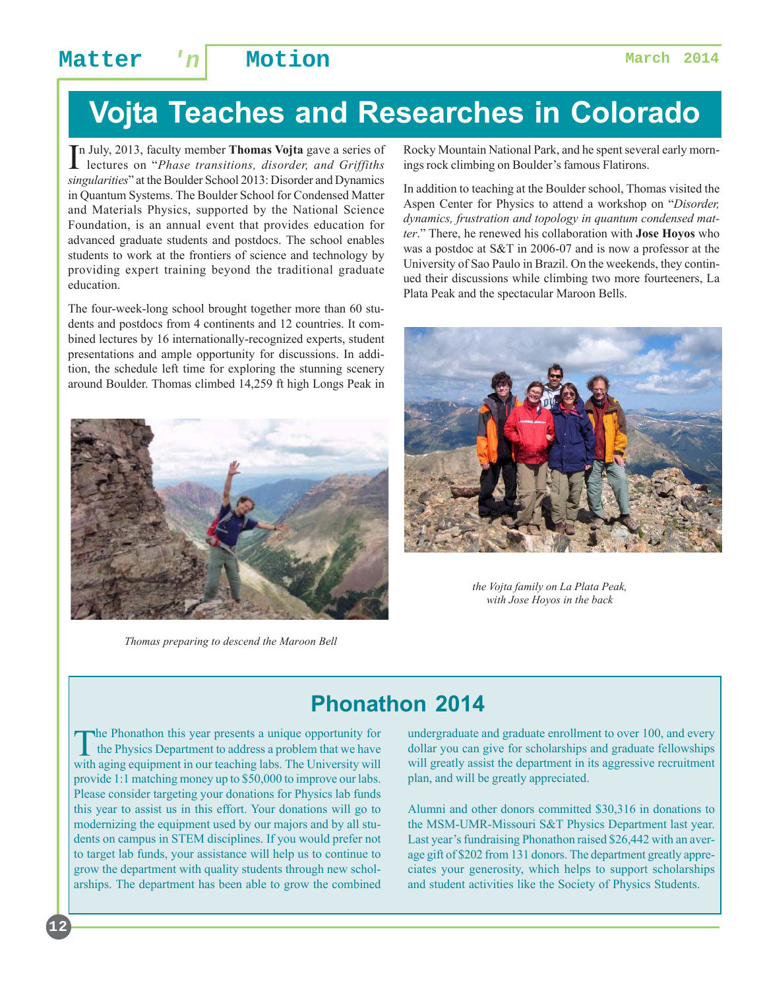# **Vojta Teaches and Researches in Colorado**

In July, 2013, faculty member **Thomas Vojta** gave a series of lectures on "*Phase transitions, disorder, and Griffiths* lectures on "*Phase transitions, disorder, and Griffiths singularities*" at the Boulder School 2013: Disorder and Dynamics in Quantum Systems. The Boulder School for Condensed Matter and Materials Physics, supported by the National Science Foundation, is an annual event that provides education for advanced graduate students and postdocs. The school enables students to work at the frontiers of science and technology by providing expert training beyond the traditional graduate education.

The four-week-long school brought together more than 60 students and postdocs from 4 continents and 12 countries. It combined lectures by 16 internationally-recognized experts, student presentations and ample opportunity for discussions. In addition, the schedule left time for exploring the stunning scenery around Boulder. Thomas climbed 14,259 ft high Longs Peak in



*Thomas preparing to descend the Maroon Bell*

Rocky Mountain National Park, and he spent several early mornings rock climbing on Boulder's famous Flatirons.

In addition to teaching at the Boulder school, Thomas visited the Aspen Center for Physics to attend a workshop on "*Disorder, dynamics, frustration and topology in quantum condensed matter*." There, he renewed his collaboration with **Jose Hoyos** who was a postdoc at S&T in 2006-07 and is now a professor at the University of Sao Paulo in Brazil. On the weekends, they continued their discussions while climbing two more fourteeners, La Plata Peak and the spectacular Maroon Bells.



*the Vojta family on La Plata Peak, with Jose Hoyos in the back*

## **Phonathon 2014**

The Phonathon this year presents a unique opportunity for the Physics Department to address a problem that we have with aging equipment in our teaching labs. The University will provide 1:1 matching money up to \$50,000 to improve our labs. Please consider targeting your donations for Physics lab funds this year to assist us in this effort. Your donations will go to modernizing the equipment used by our majors and by all students on campus in STEM disciplines. If you would prefer not to target lab funds, your assistance will help us to continue to grow the department with quality students through new scholarships. The department has been able to grow the combined undergraduate and graduate enrollment to over 100, and every dollar you can give for scholarships and graduate fellowships will greatly assist the department in its aggressive recruitment plan, and will be greatly appreciated.

Alumni and other donors committed \$30,316 in donations to the MSM-UMR-Missouri S&T Physics Department last year. Last year's fundraising Phonathon raised \$26,442 with an average gift of \$202 from 131 donors. The department greatly appreciates your generosity, which helps to support scholarships and student activities like the Society of Physics Students.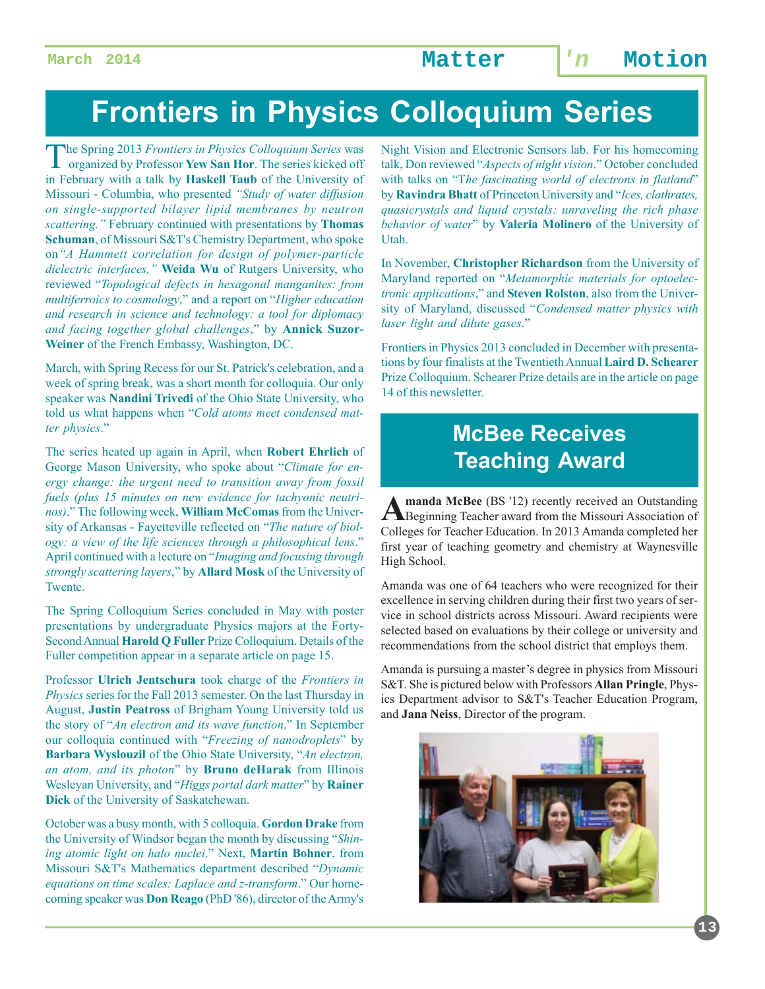# **Frontiers in Physics Colloquium Series**

The Spring 2013 *Frontiers in Physics Colloquium Series* was organized by Professor **Yew San Hor**. The series kicked off in February with a talk by **Haskell Taub** of the University of Missouri - Columbia, who presented *"Study of water diffusion on single-supported bilayer lipid membranes by neutron scattering."* February continued with presentations by **Thomas Schuman**, of Missouri S&T's Chemistry Department, who spoke on*"A Hammett correlation for design of polymer-particle dielectric interfaces,"* **Weida Wu** of Rutgers University, who reviewed "*Topological defects in hexagonal manganites: from multiferroics to cosmology*," and a report on "*Higher education and research in science and technology: a tool for diplomacy and facing together global challenges*," by **Annick Suzor-Weiner** of the French Embassy, Washington, DC.

March, with Spring Recess for our St. Patrick's celebration, and a week of spring break, was a short month for colloquia. Our only speaker was **Nandini Trivedi** of the Ohio State University, who told us what happens when "*Cold atoms meet condensed matter physics*."

The series heated up again in April, when **Robert Ehrlich** of George Mason University, who spoke about "*Climate for energy change: the urgent need to transition away from fossil fuels (plus 15 minutes on new evidence for tachyonic neutrinos)*." The following week, **William McComas** from the University of Arkansas - Fayetteville reflected on "*The nature of biology: a view of the life sciences through a philosophical lens*." April continued with a lecture on "*Imaging and focusing through strongly scattering layers*," by **Allard Mosk** of the University of Twente.

The Spring Colloquium Series concluded in May with poster presentations by undergraduate Physics majors at the Forty-Second Annual **Harold Q Fuller** Prize Colloquium. Details of the Fuller competition appear in a separate article on page 15.

Professor **Ulrich Jentschura** took charge of the *Frontiers in Physics* series for the Fall 2013 semester. On the last Thursday in August, **Justin Peatross** of Brigham Young University told us the story of "*An electron and its wave function*." In September our colloquia continued with "*Freezing of nanodroplets*" by **Barbara Wyslouzil** of the Ohio State University, "*An electron, an atom, and its photon*" by **Bruno deHarak** from Illinois Wesleyan University, and "*Higgs portal dark matter*" by **Rainer Dick** of the University of Saskatchewan.

October was a busy month, with 5 colloquia. **Gordon Drake** from the University of Windsor began the month by discussing "*Shining atomic light on halo nuclei*." Next, **Martin Bohner**, from Missouri S&T's Mathematics department described "*Dynamic equations on time scales: Laplace and z-transform*." Our homecoming speaker was **Don Reago** (PhD '86), director of the Army's

Night Vision and Electronic Sensors lab. For his homecoming talk, Don reviewed "*Aspects of night vision*." October concluded with talks on "T*he fascinating world of electrons in flatland*" by **Ravindra Bhatt** of Princeton University and "*Ices, clathrates, quasicrystals and liquid crystals: unraveling the rich phase behavior of water*" by **Valeria Molinero** of the University of Utah.

In November, **Christopher Richardson** from the University of Maryland reported on "*Metamorphic materials for optoelectronic applications*," and **Steven Rolston**, also from the University of Maryland, discussed "*Condensed matter physics with laser light and dilute gases*."

Frontiers in Physics 2013 concluded in December with presentations by four finalists at the Twentieth Annual **Laird D. Schearer** Prize Colloquium. Schearer Prize details are in the article on page 14 of this newsletter.

## **McBee Receives Teaching Award**

**Amanda McBee** (BS '12) recently received an Outstanding<br>
Beginning Teacher award from the Missouri Association of Colleges for Teacher Education. In 2013 Amanda completed her first year of teaching geometry and chemistry at Waynesville High School.

Amanda was one of 64 teachers who were recognized for their excellence in serving children during their first two years of service in school districts across Missouri. Award recipients were selected based on evaluations by their college or university and recommendations from the school district that employs them.

Amanda is pursuing a master's degree in physics from Missouri S&T. She is pictured below with Professors **Allan Pringle**, Physics Department advisor to S&T's Teacher Education Program, and **Jana Neiss**, Director of the program.



**13**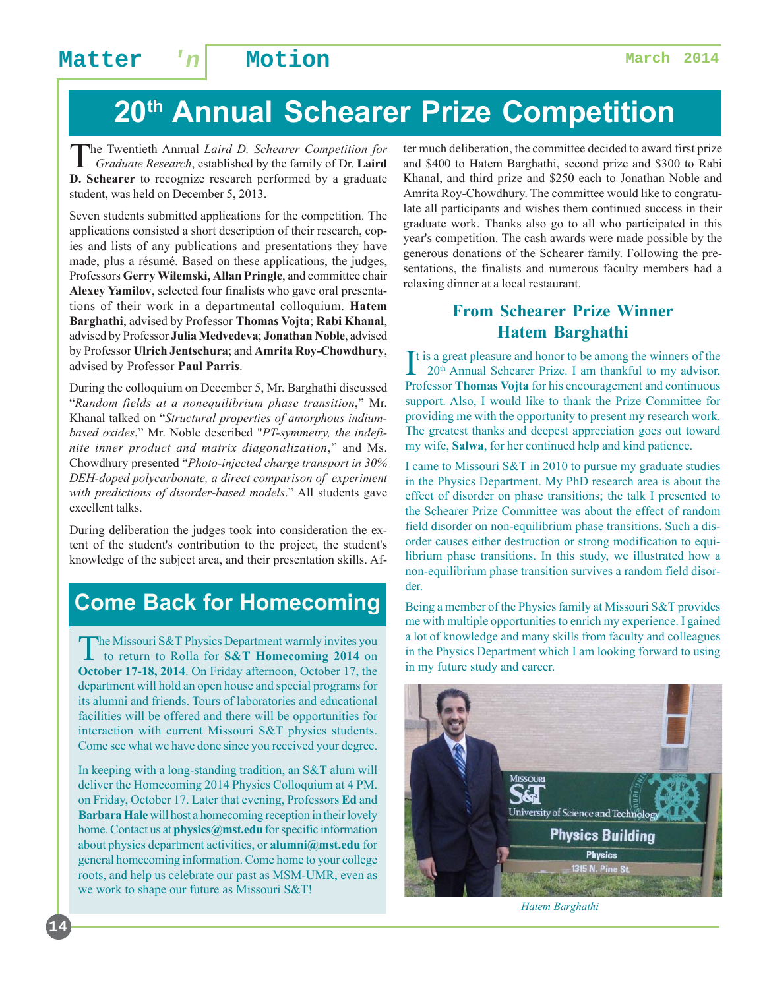# **20th Annual Schearer Prize Competition**

The Twentieth Annual *Laird D. Schearer Competition for Graduate Research*, established by the family of Dr. **Laird D. Schearer** to recognize research performed by a graduate student, was held on December 5, 2013.

Seven students submitted applications for the competition. The applications consisted a short description of their research, copies and lists of any publications and presentations they have made, plus a résumé. Based on these applications, the judges, Professors **Gerry Wilemski, Allan Pringle**, and committee chair **Alexey Yamilov**, selected four finalists who gave oral presentations of their work in a departmental colloquium. **Hatem Barghathi**, advised by Professor **Thomas Vojta**; **Rabi Khanal**, advised by Professor **Julia Medvedeva**; **Jonathan Noble**, advised by Professor **Ulrich Jentschura**; and **Amrita Roy-Chowdhury**, advised by Professor **Paul Parris**.

During the colloquium on December 5, Mr. Barghathi discussed "*Random fields at a nonequilibrium phase transition*," Mr. Khanal talked on "*Structural properties of amorphous indiumbased oxides*," Mr. Noble described "*PT-symmetry, the indefinite inner product and matrix diagonalization*," and Ms. Chowdhury presented "*Photo-injected charge transport in 30% DEH-doped polycarbonate, a direct comparison of experiment with predictions of disorder-based models*." All students gave excellent talks.

During deliberation the judges took into consideration the extent of the student's contribution to the project, the student's knowledge of the subject area, and their presentation skills. Af-

## **Come Back for Homecoming**

The Missouri S&T Physics Department warmly invites you<br>to return to Rolla for **S&T Homecoming 2014** on **October 17-18, 2014**. On Friday afternoon, October 17, the department will hold an open house and special programs for its alumni and friends. Tours of laboratories and educational facilities will be offered and there will be opportunities for interaction with current Missouri S&T physics students. Come see what we have done since you received your degree.

In keeping with a long-standing tradition, an S&T alum will deliver the Homecoming 2014 Physics Colloquium at 4 PM. on Friday, October 17. Later that evening, Professors **Ed** and **Barbara Hale** will host a homecoming reception in their lovely home. Contact us at **physics@mst.edu** for specific information about physics department activities, or **alumni@mst.edu** for general homecoming information. Come home to your college roots, and help us celebrate our past as MSM-UMR, even as we work to shape our future as Missouri S&T!

ter much deliberation, the committee decided to award first prize and \$400 to Hatem Barghathi, second prize and \$300 to Rabi Khanal, and third prize and \$250 each to Jonathan Noble and Amrita Roy-Chowdhury. The committee would like to congratulate all participants and wishes them continued success in their graduate work. Thanks also go to all who participated in this year's competition. The cash awards were made possible by the generous donations of the Schearer family. Following the presentations, the finalists and numerous faculty members had a relaxing dinner at a local restaurant.

### **From Schearer Prize Winner Hatem Barghathi**

 $\prod$ t is a great pleasure and honor to be among the winners of the 20<sup>th</sup> Annual Schearer Prize. I am thankful to my advisor, 20<sup>th</sup> Annual Schearer Prize. I am thankful to my advisor, Professor **Thomas Vojta** for his encouragement and continuous support. Also, I would like to thank the Prize Committee for providing me with the opportunity to present my research work. The greatest thanks and deepest appreciation goes out toward my wife, **Salwa**, for her continued help and kind patience.

I came to Missouri S&T in 2010 to pursue my graduate studies in the Physics Department. My PhD research area is about the effect of disorder on phase transitions; the talk I presented to the Schearer Prize Committee was about the effect of random field disorder on non-equilibrium phase transitions. Such a disorder causes either destruction or strong modification to equilibrium phase transitions. In this study, we illustrated how a non-equilibrium phase transition survives a random field disorder.

Being a member of the Physics family at Missouri S&T provides me with multiple opportunities to enrich my experience. I gained a lot of knowledge and many skills from faculty and colleagues in the Physics Department which I am looking forward to using in my future study and career.



*Hatem Barghathi*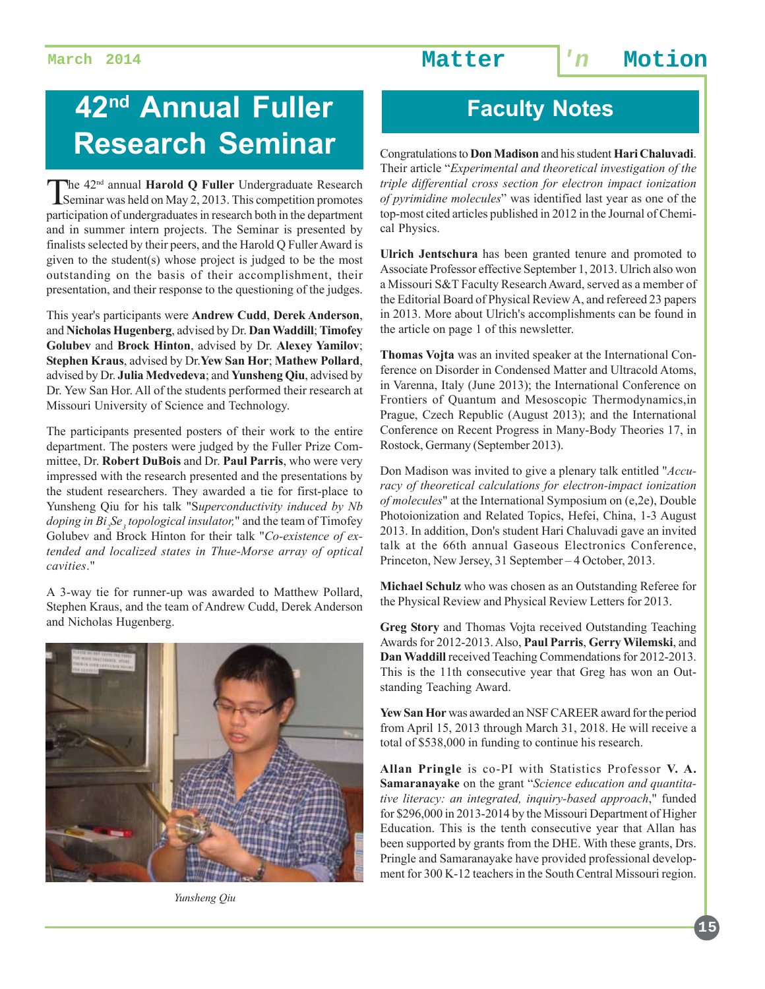# **42<sup>nd</sup> Annual Fuller | Faculty Notes Research Seminar**

The 42<sup>nd</sup> annual **Harold Q Fuller** Undergraduate Research<br>Seminar was held on May 2, 2013. This competition promotes participation of undergraduates in research both in the department and in summer intern projects. The Seminar is presented by finalists selected by their peers, and the Harold Q Fuller Award is given to the student(s) whose project is judged to be the most outstanding on the basis of their accomplishment, their presentation, and their response to the questioning of the judges.

This year's participants were **Andrew Cudd**, **Derek Anderson**, and **Nicholas Hugenberg**, advised by Dr. **Dan Waddill**; **Timofey Golubev** and **Brock Hinton**, advised by Dr. **Alexey Yamilov**; **Stephen Kraus**, advised by Dr.**Yew San Hor**; **Mathew Pollard**, advised by Dr. **Julia Medvedeva**; and **Yunsheng Qiu**, advised by Dr. Yew San Hor. All of the students performed their research at Missouri University of Science and Technology.

The participants presented posters of their work to the entire department. The posters were judged by the Fuller Prize Committee, Dr. **Robert DuBois** and Dr. **Paul Parris**, who were very impressed with the research presented and the presentations by the student researchers. They awarded a tie for first-place to Yunsheng Qiu for his talk "S*uperconductivity induced by Nb doping in Bi<sub>2</sub>Se<sub>3</sub> topological insulator*," and the team of Timofey Golubev and Brock Hinton for their talk "*Co-existence of extended and localized states in Thue-Morse array of optical cavities*."

A 3-way tie for runner-up was awarded to Matthew Pollard, Stephen Kraus, and the team of Andrew Cudd, Derek Anderson and Nicholas Hugenberg.



Congratulations to **Don Madison** and his student **Hari Chaluvadi**. Their article "*Experimental and theoretical investigation of the triple differential cross section for electron impact ionization of pyrimidine molecules*" was identified last year as one of the top-most cited articles published in 2012 in the Journal of Chemical Physics.

**Ulrich Jentschura** has been granted tenure and promoted to Associate Professor effective September 1, 2013. Ulrich also won a Missouri S&T Faculty Research Award, served as a member of the Editorial Board of Physical Review A, and refereed 23 papers in 2013. More about Ulrich's accomplishments can be found in the article on page 1 of this newsletter.

**Thomas Vojta** was an invited speaker at the International Conference on Disorder in Condensed Matter and Ultracold Atoms, in Varenna, Italy (June 2013); the International Conference on Frontiers of Quantum and Mesoscopic Thermodynamics,in Prague, Czech Republic (August 2013); and the International Conference on Recent Progress in Many-Body Theories 17, in Rostock, Germany (September 2013).

Don Madison was invited to give a plenary talk entitled "*Accuracy of theoretical calculations for electron-impact ionization of molecules*" at the International Symposium on (e,2e), Double Photoionization and Related Topics, Hefei, China, 1-3 August 2013. In addition, Don's student Hari Chaluvadi gave an invited talk at the 66th annual Gaseous Electronics Conference, Princeton, New Jersey, 31 September – 4 October, 2013.

**Michael Schulz** who was chosen as an Outstanding Referee for the Physical Review and Physical Review Letters for 2013.

**Greg Story** and Thomas Vojta received Outstanding Teaching Awards for 2012-2013. Also, **Paul Parris**, **Gerry Wilemski**, and **Dan Waddill** received Teaching Commendations for 2012-2013. This is the 11th consecutive year that Greg has won an Outstanding Teaching Award.

**Yew San Hor** was awarded an NSF CAREER award for the period from April 15, 2013 through March 31, 2018. He will receive a total of \$538,000 in funding to continue his research.

**Allan Pringle** is co-PI with Statistics Professor **V. A. Samaranayake** on the grant "*Science education and quantitative literacy: an integrated, inquiry-based approach*," funded for \$296,000 in 2013-2014 by the Missouri Department of Higher Education. This is the tenth consecutive year that Allan has been supported by grants from the DHE. With these grants, Drs. Pringle and Samaranayake have provided professional development for 300 K-12 teachers in the South Central Missouri region.

*Yunsheng Qiu*